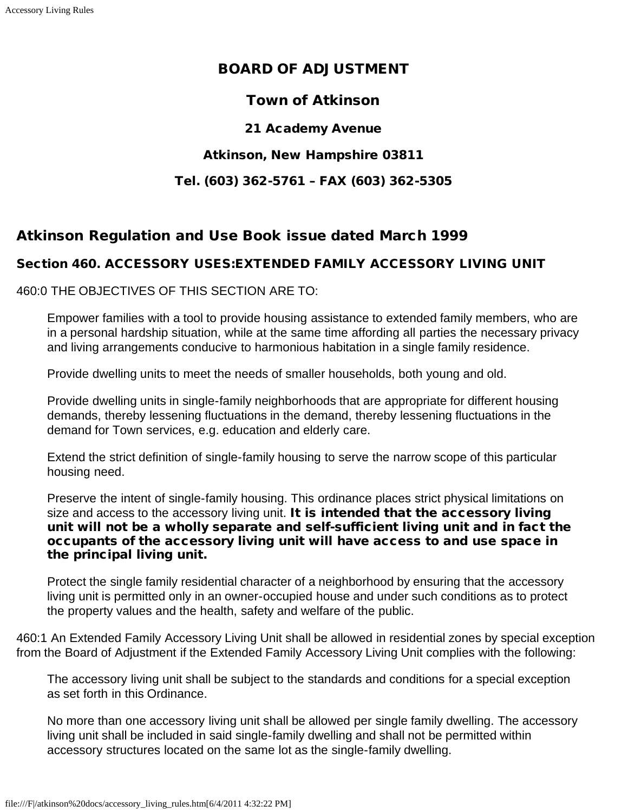## BOARD OF ADJUSTMENT

## Town of Atkinson

21 Academy Avenue

#### Atkinson, New Hampshire 03811

#### Tel. (603) 362-5761 – FAX (603) 362-5305

# Atkinson Regulation and Use Book issue dated March 1999

### Section 460. ACCESSORY USES:EXTENDED FAMILY ACCESSORY LIVING UNIT

460:0 THE OBJECTIVES OF THIS SECTION ARE TO:

Empower families with a tool to provide housing assistance to extended family members, who are in a personal hardship situation, while at the same time affording all parties the necessary privacy and living arrangements conducive to harmonious habitation in a single family residence.

Provide dwelling units to meet the needs of smaller households, both young and old.

Provide dwelling units in single-family neighborhoods that are appropriate for different housing demands, thereby lessening fluctuations in the demand, thereby lessening fluctuations in the demand for Town services, e.g. education and elderly care.

Extend the strict definition of single-family housing to serve the narrow scope of this particular housing need.

Preserve the intent of single-family housing. This ordinance places strict physical limitations on size and access to the accessory living unit. It is intended that the accessory living unit will not be a wholly separate and self-sufficient living unit and in fact the occupants of the accessory living unit will have access to and use space in the principal living unit.

Protect the single family residential character of a neighborhood by ensuring that the accessory living unit is permitted only in an owner-occupied house and under such conditions as to protect the property values and the health, safety and welfare of the public.

460:1 An Extended Family Accessory Living Unit shall be allowed in residential zones by special exception from the Board of Adjustment if the Extended Family Accessory Living Unit complies with the following:

The accessory living unit shall be subject to the standards and conditions for a special exception as set forth in this Ordinance.

No more than one accessory living unit shall be allowed per single family dwelling. The accessory living unit shall be included in said single-family dwelling and shall not be permitted within accessory structures located on the same lot as the single-family dwelling.